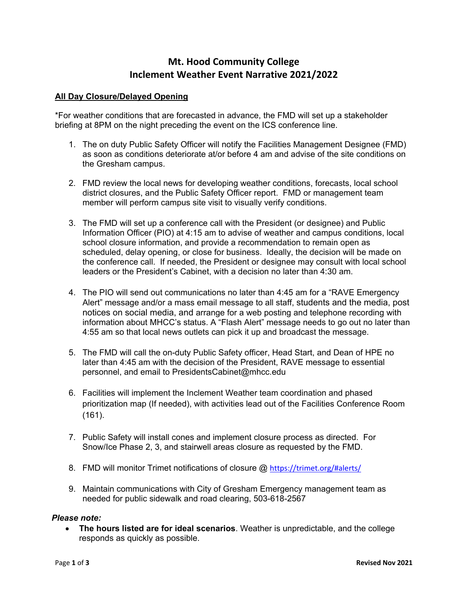# **Mt. Hood Community College Inclement Weather Event Narrative 2021/2022**

## **All Day Closure/Delayed Opening**

\*For weather conditions that are forecasted in advance, the FMD will set up a stakeholder briefing at 8PM on the night preceding the event on the ICS conference line.

- 1. The on duty Public Safety Officer will notify the Facilities Management Designee (FMD) as soon as conditions deteriorate at/or before 4 am and advise of the site conditions on the Gresham campus.
- 2. FMD review the local news for developing weather conditions, forecasts, local school district closures, and the Public Safety Officer report. FMD or management team member will perform campus site visit to visually verify conditions.
- 3. The FMD will set up a conference call with the President (or designee) and Public Information Officer (PIO) at 4:15 am to advise of weather and campus conditions, local school closure information, and provide a recommendation to remain open as scheduled, delay opening, or close for business. Ideally, the decision will be made on the conference call. If needed, the President or designee may consult with local school leaders or the President's Cabinet, with a decision no later than 4:30 am.
- 4. The PIO will send out communications no later than 4:45 am for a "RAVE Emergency Alert" message and/or a mass email message to all staff, students and the media, post notices on social media, and arrange for a web posting and telephone recording with information about MHCC's status. A "Flash Alert" message needs to go out no later than 4:55 am so that local news outlets can pick it up and broadcast the message.
- 5. The FMD will call the on-duty Public Safety officer, Head Start, and Dean of HPE no later than 4:45 am with the decision of the President, RAVE message to essential personnel, and email to PresidentsCabinet@mhcc.edu
- 6. Facilities will implement the Inclement Weather team coordination and phased prioritization map (If needed), with activities lead out of the Facilities Conference Room (161).
- 7. Public Safety will install cones and implement closure process as directed. For Snow/Ice Phase 2, 3, and stairwell areas closure as requested by the FMD.
- 8. FMD will monitor Trimet notifications of closure @ <https://trimet.org/#alerts/>
- 9. Maintain communications with City of Gresham Emergency management team as needed for public sidewalk and road clearing, 503-618-2567

#### *Please note:*

• **The hours listed are for ideal scenarios**. Weather is unpredictable, and the college responds as quickly as possible.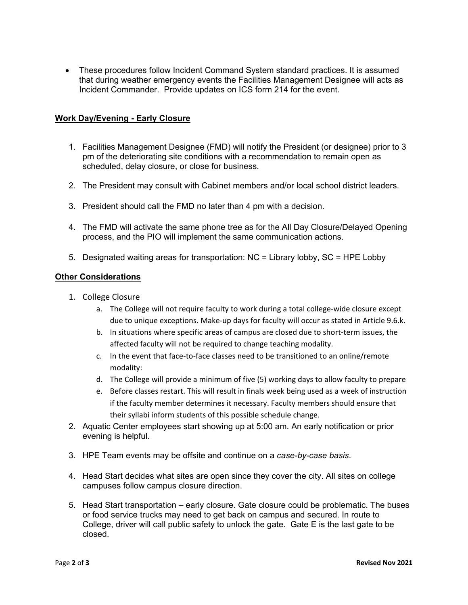• These procedures follow Incident Command System standard practices. It is assumed that during weather emergency events the Facilities Management Designee will acts as Incident Commander. Provide updates on ICS form 214 for the event.

### **Work Day/Evening - Early Closure**

- 1. Facilities Management Designee (FMD) will notify the President (or designee) prior to 3 pm of the deteriorating site conditions with a recommendation to remain open as scheduled, delay closure, or close for business.
- 2. The President may consult with Cabinet members and/or local school district leaders.
- 3. President should call the FMD no later than 4 pm with a decision.
- 4. The FMD will activate the same phone tree as for the All Day Closure/Delayed Opening process, and the PIO will implement the same communication actions.
- 5. Designated waiting areas for transportation: NC = Library lobby, SC = HPE Lobby

#### **Other Considerations**

- 1. College Closure
	- a. The College will not require faculty to work during a total college-wide closure except due to unique exceptions. Make-up days for faculty will occur as stated in Article 9.6.k.
	- b. In situations where specific areas of campus are closed due to short-term issues, the affected faculty will not be required to change teaching modality.
	- c. In the event that face-to-face classes need to be transitioned to an online/remote modality:
	- d. The College will provide a minimum of five (5) working days to allow faculty to prepare
	- e. Before classes restart. This will result in finals week being used as a week of instruction if the faculty member determines it necessary. Faculty members should ensure that their syllabi inform students of this possible schedule change.
- 2. Aquatic Center employees start showing up at 5:00 am. An early notification or prior evening is helpful.
- 3. HPE Team events may be offsite and continue on a *case-by-case basis*.
- 4. Head Start decides what sites are open since they cover the city. All sites on college campuses follow campus closure direction.
- 5. Head Start transportation early closure. Gate closure could be problematic. The buses or food service trucks may need to get back on campus and secured. In route to College, driver will call public safety to unlock the gate. Gate E is the last gate to be closed.